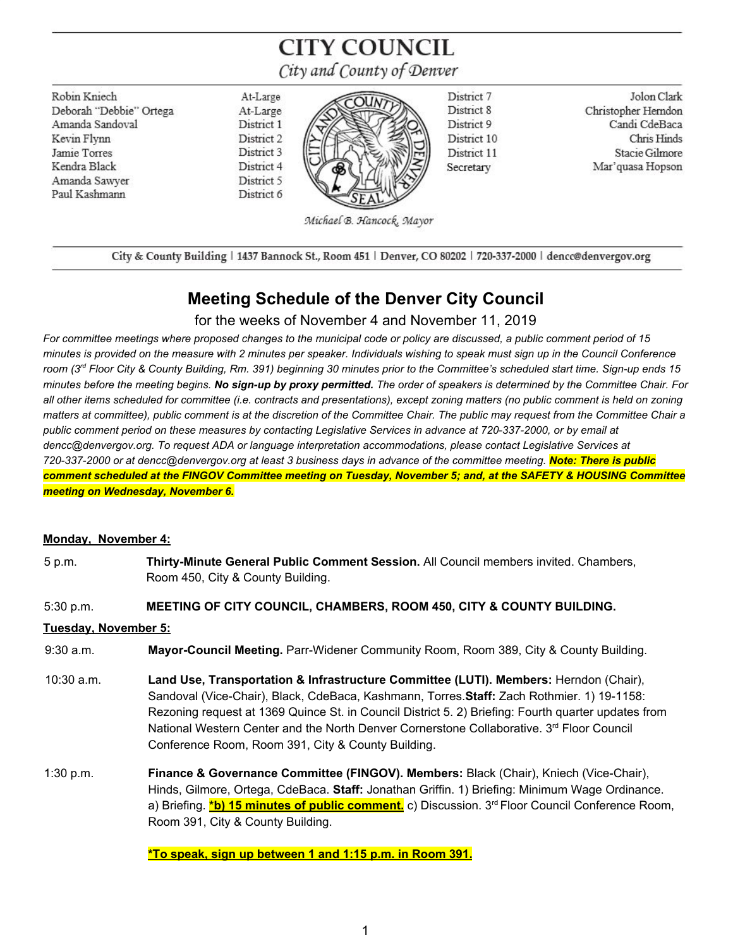# **CITY COUNCIL** City and County of Denver

Robin Kniech Deborah "Debbie" Ortega Amanda Sandoval Kevin Flynn Jamie Torres Kendra Black Amanda Sawver Paul Kashmann

At-Large At-Large District 1 District 2 District 3 District 4 District 5 District 6



District 7 District 8 District 9 District 10 District 11 Secretary

Jolon Clark Christopher Herndon Candi CdeBaca Chris Hinds Stacie Gilmore Mar'quasa Hopson

Michael B. Hancock, Mayor

City & County Building | 1437 Bannock St., Room 451 | Denver, CO 80202 | 720-337-2000 | dencc@denvergov.org

## **Meeting Schedule of the Denver City Council**

for the weeks of November 4 and November 11, 2019

*For committee meetings where proposed changes to the municipal code or policy are discussed, a public comment period of 15 minutes is provided on the measure with 2 minutes per speaker. Individuals wishing to speak must sign up in the Council Conference room (3rd Floor City & County Building, Rm. 391) beginning 30 minutes prior to the Committee's scheduled start time. Sign-up ends 15 minutes before the meeting begins. No sign-up by proxy permitted. The order of speakers is determined by the Committee Chair. For all other items scheduled for committee (i.e. contracts and presentations), except zoning matters (no public comment is held on zoning matters at committee), public comment is at the discretion of the Committee Chair. The public may request from the Committee Chair a public comment period on these measures by contacting Legislative Services in advance at 720-337-2000, or by email at dencc@denvergov.org. To request ADA or language interpretation accommodations, please contact Legislative Services at 720-337-2000 or at dencc@denvergov.org at least 3 business days in advance of the committee meeting. Note: There is public comment scheduled at the FINGOV Committee meeting on Tuesday, November 5; and, at the SAFETY & HOUSING Committee meeting on Wednesday, November 6.*

### **Monday, November 4:**

5 p.m. **Thirty-Minute General Public Comment Session.** All Council members invited. Chambers, Room 450, City & County Building.

#### 5:30 p.m. **MEETING OF CITY COUNCIL, CHAMBERS, ROOM 450, CITY & COUNTY BUILDING.**

#### **Tuesday, November 5:**

9:30 a.m. **Mayor-Council Meeting.** Parr-Widener Community Room, Room 389, City & County Building.

- 10:30 a.m. **Land Use, Transportation & Infrastructure Committee (LUTI). Members:** Herndon (Chair), Sandoval (Vice-Chair), Black, CdeBaca, Kashmann, Torres.**Staff:** Zach Rothmier. 1) 19-1158: Rezoning request at 1369 Quince St. in Council District 5. 2) Briefing: Fourth quarter updates from National Western Center and the North Denver Cornerstone Collaborative. 3<sup>rd</sup> Floor Council Conference Room, Room 391, City & County Building.
- 1:30 p.m. **Finance & Governance Committee (FINGOV). Members:** Black (Chair), Kniech (Vice-Chair), Hinds, Gilmore, Ortega, CdeBaca. **Staff:** Jonathan Griffin. 1) Briefing: Minimum Wage Ordinance. a) Briefing. **\*b) 15 minutes of public comment.** c) Discussion. 3 rd Floor Council Conference Room, Room 391, City & County Building.

**\*To speak, sign up between 1 and 1:15 p.m. in Room 391.**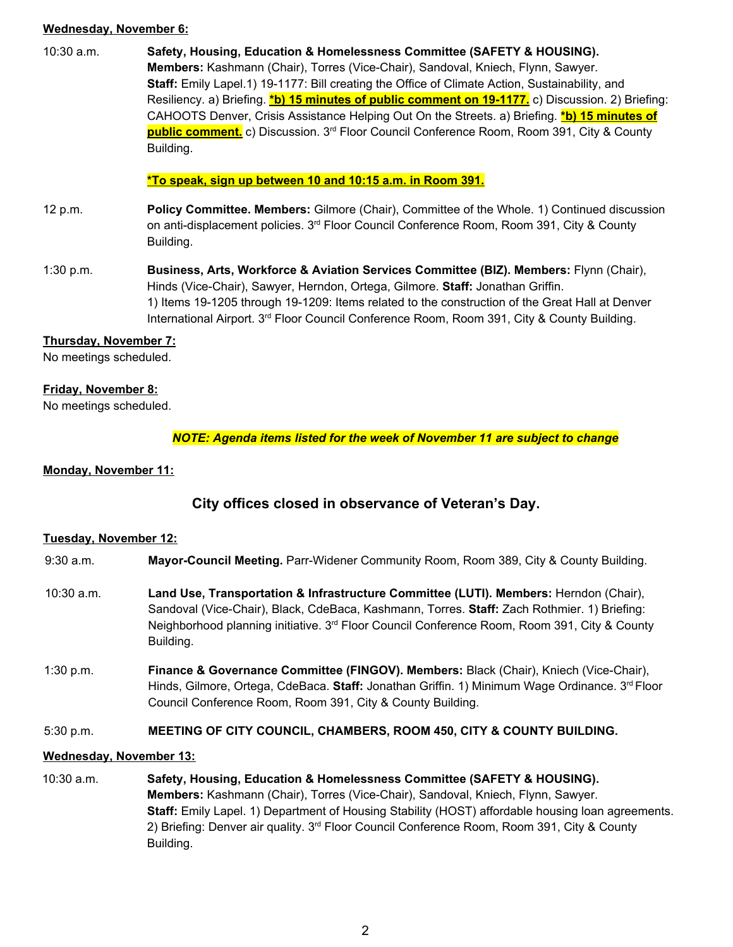#### **Wednesday, November 6:**

10:30 a.m. **Safety, Housing, Education & Homelessness Committee (SAFETY & HOUSING). Members:** Kashmann (Chair), Torres (Vice-Chair), Sandoval, Kniech, Flynn, Sawyer. **Staff:** Emily Lapel.1) 19-1177: Bill creating the Office of Climate Action, Sustainability, and Resiliency. a) Briefing. **\*b) 15 minutes of public comment on 19-1177.** c) Discussion. 2) Briefing: CAHOOTS Denver, Crisis Assistance Helping Out On the Streets. a) Briefing. **\*b) 15 minutes of public comment.** c) Discussion. 3 rd Floor Council Conference Room, Room 391, City & County Building.

#### **\*To speak, sign up between 10 and 10:15 a.m. in Room 391.**

- 12 p.m. **Policy Committee. Members:** Gilmore (Chair), Committee of the Whole. 1) Continued discussion on anti-displacement policies. 3<sup>rd</sup> Floor Council Conference Room, Room 391, City & County Building.
- 1:30 p.m. **Business, Arts, Workforce & Aviation Services Committee (BIZ). Members:** Flynn (Chair), Hinds (Vice-Chair), Sawyer, Herndon, Ortega, Gilmore. **Staff:** Jonathan Griffin. 1) Items 19-1205 through 19-1209: Items related to the construction of the Great Hall at Denver International Airport. 3<sup>rd</sup> Floor Council Conference Room, Room 391, City & County Building.

#### **Thursday, November 7:**

No meetings scheduled.

#### **Friday, November 8:**

No meetings scheduled.

*NOTE: Agenda items listed for the week of November 11 are subject to change*

#### **Monday, November 11:**

## **City offices closed in observance of Veteran's Day.**

#### **Tuesday, November 12:**

- 9:30 a.m. **Mayor-Council Meeting.** Parr-Widener Community Room, Room 389, City & County Building.
- 10:30 a.m. **Land Use, Transportation & Infrastructure Committee (LUTI). Members:** Herndon (Chair), Sandoval (Vice-Chair), Black, CdeBaca, Kashmann, Torres. **Staff:** Zach Rothmier. 1) Briefing: Neighborhood planning initiative. 3<sup>rd</sup> Floor Council Conference Room, Room 391, City & County Building.
- 1:30 p.m. **Finance & Governance Committee (FINGOV). Members:** Black (Chair), Kniech (Vice-Chair), Hinds, Gilmore, Ortega, CdeBaca. **Staff:** Jonathan Griffin. 1) Minimum Wage Ordinance. 3 rd Floor Council Conference Room, Room 391, City & County Building.

#### 5:30 p.m. **MEETING OF CITY COUNCIL, CHAMBERS, ROOM 450, CITY & COUNTY BUILDING.**

#### **Wednesday, November 13:**

10:30 a.m. **Safety, Housing, Education & Homelessness Committee (SAFETY & HOUSING). Members:** Kashmann (Chair), Torres (Vice-Chair), Sandoval, Kniech, Flynn, Sawyer. **Staff:** Emily Lapel. 1) Department of Housing Stability (HOST) affordable housing loan agreements. 2) Briefing: Denver air quality. 3<sup>rd</sup> Floor Council Conference Room, Room 391, City & County Building.